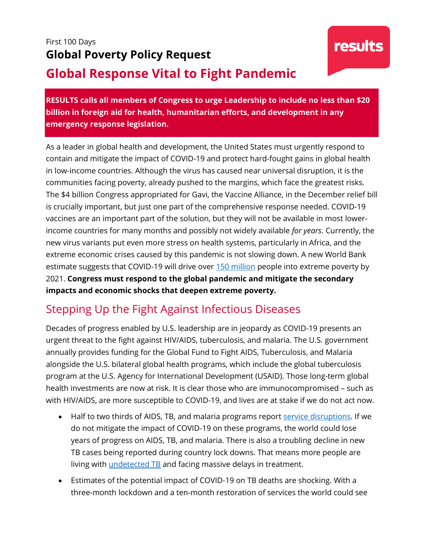## First 100 Days **Global Poverty Policy Request Global Response Vital to Fight Pandemic**

**RESULTS calls all members of Congress to urge Leadership to include no less than \$20 billion in foreign aid for health, humanitarian efforts, and development in any emergency response legislation.**

As a leader in global health and development, the United States must urgently respond to contain and mitigate the impact of COVID-19 and protect hard-fought gains in global health in low-income countries. Although the virus has caused near universal disruption, it is the communities facing poverty, already pushed to the margins, which face the greatest risks. The \$4 billion Congress appropriated for Gavi, the Vaccine Alliance, in the December relief bill is crucially important, but just one part of the comprehensive response needed. COVID-19 vaccines are an important part of the solution, but they will not be available in most lowerincome countries for many months and possibly not widely available *for years*. Currently, the new virus variants put even more stress on health systems, particularly in Africa, and the extreme economic crises caused by this pandemic is not slowing down. A new World Bank estimate suggests that COVID-19 will drive over [150 million](https://www.worldbank.org/en/news/press-release/2020/10/07/covid-19-to-add-as-many-as-150-million-extreme-poor-by-2021) people into extreme poverty by 2021. **Congress must respond to the global pandemic and mitigate the secondary impacts and economic shocks that deepen extreme poverty.**

## Stepping Up the Fight Against Infectious Diseases

Decades of progress enabled by U.S. leadership are in jeopardy as COVID-19 presents an urgent threat to the fight against HIV/AIDS, tuberculosis, and malaria. The U.S. government annually provides funding for the Global Fund to Fight AIDS, Tuberculosis, and Malaria alongside the U.S. bilateral global health programs, which include the global tuberculosis program at the U.S. Agency for International Development (USAID). Those long-term global health investments are now at risk. It is clear those who are immunocompromised – such as with HIV/AIDS, are more susceptible to COVID-19, and lives are at stake if we do not act now.

- Half to two thirds of AIDS, TB, and malaria programs report [service disruptions.](https://www.theglobalfund.org/media/10479/covid19_2020-12-23-situation_report_en.pdf) If we do not mitigate the impact of COVID-19 on these programs, the world could lose years of progress on AIDS, TB, and malaria. There is also a troubling decline in new TB cases being reported during country lock downs. That means more people are living with *undetected TB* and facing massive delays in treatment.
- Estimates of the potential impact of COVID-19 on TB deaths are shocking. With a three-month lockdown and a ten-month restoration of services the world could see